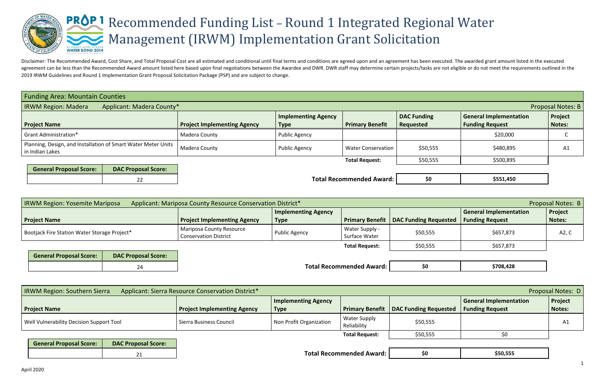

Disclaimer: The Recommended Award, Cost Share, and Total Proposal Cost are all estimated and conditional until final terms and conditions are agreed upon and an agreement has been executed. The awarded grant amount listed agreement can be less than the Recommended Award amount listed here based upon final negotiations between the Awardee and DWR. DWR staff may determine certain projects/tasks are not eligible or do not meet the requirements 2019 IRWM Guidelines and Round 1 Implementation Grant Proposal Solicitation Package (PSP) and are subject to change.

|                                                         | <b>Proposal Notes: B</b> |
|---------------------------------------------------------|--------------------------|
| <b>General Implementation</b><br><b>Funding Request</b> | <b>Project</b><br>Notes: |
| \$20,000                                                |                          |
| \$480,895                                               | Α1                       |
| \$500,895                                               |                          |

|--|

| \$708,428 |
|-----------|
|-----------|

|--|

| <b>Funding Area: Mountain Counties</b>                                             |                                    |                                           |                           |                                 |                                                         |                                 |
|------------------------------------------------------------------------------------|------------------------------------|-------------------------------------------|---------------------------|---------------------------------|---------------------------------------------------------|---------------------------------|
| <b>IRWM Region: Madera</b><br>Applicant: Madera County*                            |                                    |                                           |                           |                                 |                                                         | <b>Proposal Notes: B</b>        |
| <b>Project Name</b>                                                                | <b>Project Implementing Agency</b> | <b>Implementing Agency</b><br><b>Type</b> | <b>Primary Benefit</b>    | <b>DAC Funding</b><br>Requested | <b>General Implementation</b><br><b>Funding Request</b> | <b>Project</b><br><b>Notes:</b> |
| <b>Grant Administration*</b>                                                       | Madera County                      | Public Agency                             |                           |                                 | \$20,000                                                |                                 |
| Planning, Design, and Installation of Smart Water Meter Units  <br>in Indian Lakes | Madera County                      | Public Agency                             | <b>Water Conservation</b> | \$50,555                        | \$480,895                                               | A1                              |
|                                                                                    |                                    |                                           | <b>Total Request:</b>     | \$50,555                        | \$500,895                                               |                                 |
| <b>General Proposal Score:</b><br><b>DAC Proposal Score:</b>                       |                                    |                                           |                           |                                 |                                                         |                                 |
|                                                                                    |                                    |                                           |                           |                                 |                                                         |                                 |

22 **Total Recommended Award: \$0 \$0** 

| <b>IRWM Region: Yosemite Mariposa</b>        | Applicant: Mariposa County Resource Conservation District*      |                            |                                 |                                                |                        | Proposal Notes: B |
|----------------------------------------------|-----------------------------------------------------------------|----------------------------|---------------------------------|------------------------------------------------|------------------------|-------------------|
|                                              |                                                                 | <b>Implementing Agency</b> |                                 |                                                | General Implementation | <b>Project</b>    |
| <b>Project Name</b>                          | <b>Project Implementing Agency</b>                              | <b>Type</b>                |                                 | <b>Primary Benefit   DAC Funding Requested</b> | <b>Funding Request</b> | Notes:            |
| Bootjack Fire Station Water Storage Project* | <b>Mariposa County Resource</b><br><b>Conservation District</b> | Public Agency              | Water Supply -<br>Surface Water | \$50,555                                       | \$657,873              | A2, C             |
|                                              |                                                                 |                            | <b>Total Request:</b>           | \$50,555                                       | \$657,873              |                   |

| <b>General Proposal Score:</b> | <b>DAC Proposal Score:</b> |
|--------------------------------|----------------------------|
|                                |                            |

**Total Recommended Award: \$0** 

| <b>IRWM Region: Southern Sierra</b>      | Applicant: Sierra Resource Conservation District* |                            |                                    |                                                |                               | Proposal Notes: D |
|------------------------------------------|---------------------------------------------------|----------------------------|------------------------------------|------------------------------------------------|-------------------------------|-------------------|
|                                          |                                                   | <b>Implementing Agency</b> |                                    |                                                | <b>General Implementation</b> | <b>Project</b>    |
| <b>Project Name</b>                      | <b>Project Implementing Agency</b>                | <b>Type</b>                |                                    | <b>Primary Benefit   DAC Funding Requested</b> | <b>Funding Request</b>        | Notes:            |
| Well Vulnerability Decision Support Tool | Sierra Business Council                           | Non Profit Organization    | <b>Water Supply</b><br>Reliability | \$50,555                                       |                               | Αl                |
|                                          |                                                   |                            | <b>Total Request:</b>              | \$50,555                                       | \$0                           |                   |

| <b>General Proposal Score:</b> | <b>DAC Proposal Score:</b> |
|--------------------------------|----------------------------|
|                                |                            |

**Total Recommended Award: \$0**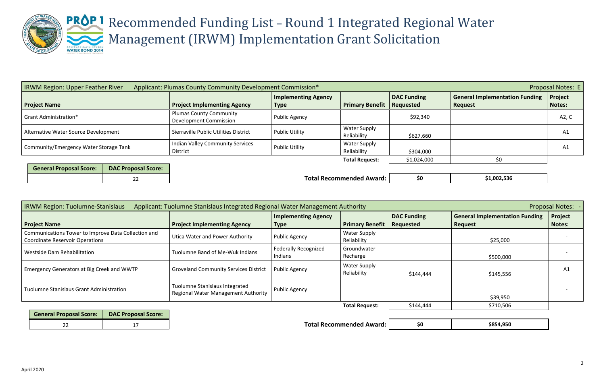

# Recommended Funding List – Round 1 Integrated Regional Water Management (IRWM) Implementation Grant Solicitation

| \$1,002,536 |
|-------------|
|             |

| \$854,950 |
|-----------|
|           |

| Applicant: Plumas County Community Development Commission*<br><b>IRWM Region: Upper Feather River</b> |                                                          |                            |                        |                    | Proposal Notes: E                     |                |  |  |
|-------------------------------------------------------------------------------------------------------|----------------------------------------------------------|----------------------------|------------------------|--------------------|---------------------------------------|----------------|--|--|
|                                                                                                       |                                                          | <b>Implementing Agency</b> |                        | <b>DAC Funding</b> | <b>General Implementation Funding</b> | <b>Project</b> |  |  |
| <b>Project Name</b>                                                                                   | <b>Project Implementing Agency</b>                       | <b>Type</b>                | <b>Primary Benefit</b> | Requested          | <b>Request</b>                        | <b>Notes:</b>  |  |  |
| <b>Grant Administration*</b>                                                                          | <b>Plumas County Community</b><br>Development Commission | <b>Public Agency</b>       |                        | \$92,340           |                                       | A2, C          |  |  |
|                                                                                                       |                                                          |                            |                        |                    |                                       |                |  |  |
| Alternative Water Source Development                                                                  | Sierraville Public Utilities District                    | <b>Public Utility</b>      | <b>Water Supply</b>    |                    |                                       | A1             |  |  |
|                                                                                                       |                                                          |                            | Reliability            | \$627,660          |                                       |                |  |  |
|                                                                                                       | Indian Valley Community Services                         |                            |                        |                    | <b>Water Supply</b>                   |                |  |  |
| Community/Emergency Water Storage Tank                                                                | <b>Public Utility</b><br><b>District</b>                 | Reliability                | \$304,000              |                    | A1                                    |                |  |  |
|                                                                                                       |                                                          |                            | <b>Total Request:</b>  | \$1,024,000        |                                       |                |  |  |
|                                                                                                       |                                                          |                            |                        |                    |                                       |                |  |  |

| <b>General Proposal Score:</b> | <b>DAC Proposal Score:</b> |
|--------------------------------|----------------------------|
|                                |                            |

**Total Recommended Award: \$0** 

|                                                                       | <b>Implementing Agency</b>             |                                    |                    |                                       |               |
|-----------------------------------------------------------------------|----------------------------------------|------------------------------------|--------------------|---------------------------------------|---------------|
|                                                                       |                                        |                                    | <b>DAC Funding</b> | <b>General Implementation Funding</b> | Project       |
|                                                                       | <b>Type</b>                            | <b>Primary Benefit</b>             |                    | <b>Request</b>                        | <b>Notes:</b> |
| Utica Water and Power Authority                                       | Public Agency                          | <b>Water Supply</b><br>Reliability |                    | \$25,000                              |               |
| Tuolumne Band of Me-Wuk Indians                                       | <b>Federally Recognized</b><br>Indians | Groundwater<br>Recharge            |                    | \$500,000                             |               |
| <b>Groveland Community Services District</b>                          | <b>Public Agency</b>                   | <b>Water Supply</b><br>Reliability | \$144,444          | \$145,556                             | A1            |
| Tuolumne Stanislaus Integrated<br>Regional Water Management Authority | <b>Public Agency</b>                   |                                    |                    | \$39,950                              |               |
|                                                                       |                                        | <b>Total Request:</b>              | \$144,444          | \$710,506                             |               |
|                                                                       | <b>Project Implementing Agency</b>     |                                    |                    | Requested                             |               |

| General Proposal Score:   DAC Proposal Score: |  |
|-----------------------------------------------|--|
|                                               |  |

**Total Recommended Award: \$0**